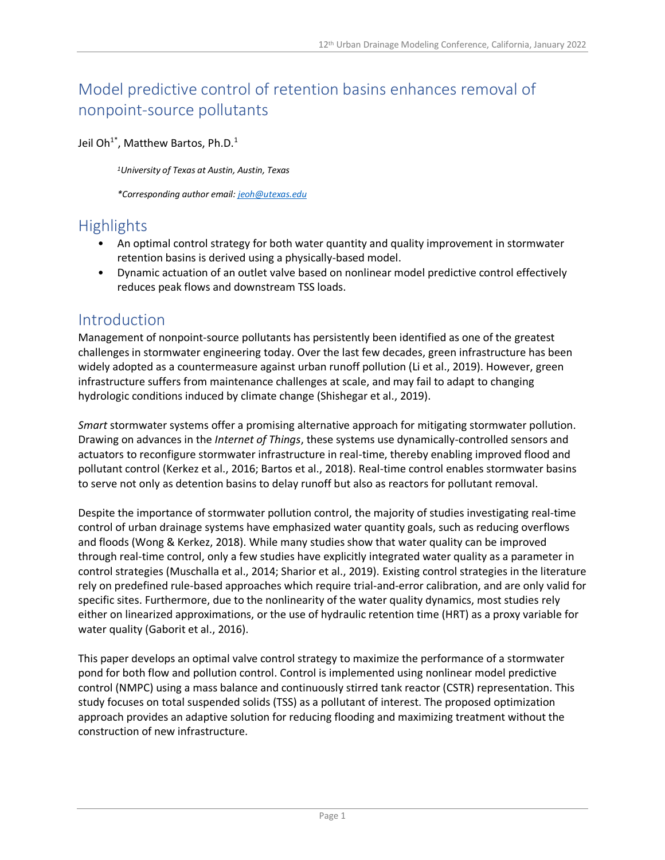# Model predictive control of retention basins enhances removal of nonpoint-source pollutants

Jeil Oh<sup>1\*</sup>, Matthew Bartos, Ph.D.<sup>1</sup>

*<sup>1</sup>University of Texas at Austin, Austin, Texas*

*\*Corresponding author email: [jeoh@utexas.edu](mailto:jeoh@utexas.edu)*

# **Highlights**

- An optimal control strategy for both water quantity and quality improvement in stormwater retention basins is derived using a physically-based model.
- Dynamic actuation of an outlet valve based on nonlinear model predictive control effectively reduces peak flows and downstream TSS loads.

#### Introduction

Management of nonpoint-source pollutants has persistently been identified as one of the greatest challenges in stormwater engineering today. Over the last few decades, green infrastructure has been widely adopted as a countermeasure against urban runoff pollution (Li et al., 2019). However, green infrastructure suffers from maintenance challenges at scale, and may fail to adapt to changing hydrologic conditions induced by climate change (Shishegar et al., 2019).

*Smart* stormwater systems offer a promising alternative approach for mitigating stormwater pollution. Drawing on advances in the *Internet of Things*, these systems use dynamically-controlled sensors and actuators to reconfigure stormwater infrastructure in real-time, thereby enabling improved flood and pollutant control (Kerkez et al., 2016; Bartos et al., 2018). Real-time control enables stormwater basins to serve not only as detention basins to delay runoff but also as reactors for pollutant removal.

Despite the importance of stormwater pollution control, the majority of studies investigating real-time control of urban drainage systems have emphasized water quantity goals, such as reducing overflows and floods (Wong & Kerkez, 2018). While many studies show that water quality can be improved through real-time control, only a few studies have explicitly integrated water quality as a parameter in control strategies (Muschalla et al., 2014; Sharior et al., 2019). Existing control strategies in the literature rely on predefined rule-based approaches which require trial-and-error calibration, and are only valid for specific sites. Furthermore, due to the nonlinearity of the water quality dynamics, most studies rely either on linearized approximations, or the use of hydraulic retention time (HRT) as a proxy variable for water quality (Gaborit et al., 2016).

This paper develops an optimal valve control strategy to maximize the performance of a stormwater pond for both flow and pollution control. Control is implemented using nonlinear model predictive control (NMPC) using a mass balance and continuously stirred tank reactor (CSTR) representation. This study focuses on total suspended solids (TSS) as a pollutant of interest. The proposed optimization approach provides an adaptive solution for reducing flooding and maximizing treatment without the construction of new infrastructure.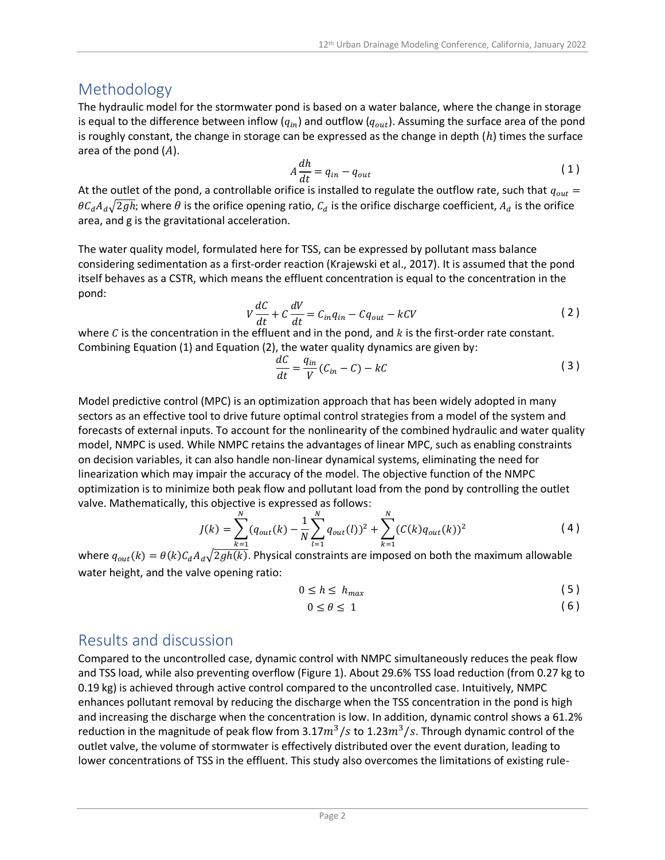## Methodology

The hydraulic model for the stormwater pond is based on a water balance, where the change in storage is equal to the difference between inflow ( $q_{in}$ ) and outflow ( $q_{out}$ ). Assuming the surface area of the pond is roughly constant, the change in storage can be expressed as the change in depth  $(h)$  times the surface area of the pond  $(A)$ .

$$
A\frac{dh}{dt} = q_{in} - q_{out} \tag{1}
$$

At the outlet of the pond, a controllable orifice is installed to regulate the outflow rate, such that  $q_{out}$  =  $\theta C_d A_d \sqrt{2gh}$ ; where  $\theta$  is the orifice opening ratio,  $C_d$  is the orifice discharge coefficient,  $A_d$  is the orifice area, and g is the gravitational acceleration.

The water quality model, formulated here for TSS, can be expressed by pollutant mass balance considering sedimentation as a first-order reaction (Krajewski et al., 2017). It is assumed that the pond itself behaves as a CSTR, which means the effluent concentration is equal to the concentration in the pond:

$$
V\frac{dC}{dt} + C\frac{dV}{dt} = C_{in}q_{in} - Cq_{out} - kCV
$$
 (2)

where  $C$  is the concentration in the effluent and in the pond, and  $k$  is the first-order rate constant. Combining Equation (1) and Equation (2), the water quality dynamics are given by:

$$
\frac{dC}{dt} = \frac{q_{in}}{V}(C_{in} - C) - kC
$$
\n(3)

Model predictive control (MPC) is an optimization approach that has been widely adopted in many sectors as an effective tool to drive future optimal control strategies from a model of the system and forecasts of external inputs. To account for the nonlinearity of the combined hydraulic and water quality model, NMPC is used. While NMPC retains the advantages of linear MPC, such as enabling constraints on decision variables, it can also handle non-linear dynamical systems, eliminating the need for linearization which may impair the accuracy of the model. The objective function of the NMPC optimization is to minimize both peak flow and pollutant load from the pond by controlling the outlet valve. Mathematically, this objective is expressed as follows:

$$
J(k) = \sum_{k=1}^{N} (q_{out}(k) - \frac{1}{N} \sum_{l=1}^{N} q_{out}(l))^{2} + \sum_{k=1}^{N} (C(k)q_{out}(k))^{2}
$$
(4)

where  $q_{out}(k) = \theta(k)C_dA_d\sqrt{2gh(k)}$ . Physical constraints are imposed on both the maximum allowable water height, and the valve opening ratio:

$$
0 \le h \le h_{max} \tag{5}
$$

$$
0 \le \theta \le 1 \tag{6}
$$

## Results and discussion

Compared to the uncontrolled case, dynamic control with NMPC simultaneously reduces the peak flow and TSS load, while also preventing overflow (Figure 1). About 29.6% TSS load reduction (from 0.27 kg to 0.19 kg) is achieved through active control compared to the uncontrolled case. Intuitively, NMPC enhances pollutant removal by reducing the discharge when the TSS concentration in the pond is high and increasing the discharge when the concentration is low. In addition, dynamic control shows a 61.2% reduction in the magnitude of peak flow from 3.17 $m^3/s$  to 1.23 $m^3/s$ . Through dynamic control of the outlet valve, the volume of stormwater is effectively distributed over the event duration, leading to lower concentrations of TSS in the effluent. This study also overcomes the limitations of existing rule-